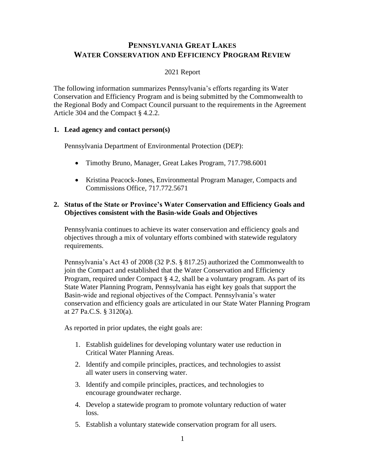# **PENNSYLVANIA GREAT LAKES WATER CONSERVATION AND EFFICIENCY PROGRAM REVIEW**

# 2021 Report

The following information summarizes Pennsylvania's efforts regarding its Water Conservation and Efficiency Program and is being submitted by the Commonwealth to the Regional Body and Compact Council pursuant to the requirements in the Agreement Article 304 and the Compact § 4.2.2.

## **1. Lead agency and contact person(s)**

Pennsylvania Department of Environmental Protection (DEP):

- Timothy Bruno, Manager, Great Lakes Program, 717.798.6001
- Kristina Peacock-Jones, Environmental Program Manager, Compacts and Commissions Office, 717.772.5671

### **2. Status of the State or Province's Water Conservation and Efficiency Goals and Objectives consistent with the Basin-wide Goals and Objectives**

Pennsylvania continues to achieve its water conservation and efficiency goals and objectives through a mix of voluntary efforts combined with statewide regulatory requirements.

Pennsylvania's Act 43 of 2008 (32 P.S. § 817.25) authorized the Commonwealth to join the Compact and established that the Water Conservation and Efficiency Program, required under Compact § 4.2, shall be a voluntary program. As part of its State Water Planning Program, Pennsylvania has eight key goals that support the Basin-wide and regional objectives of the Compact. Pennsylvania's water conservation and efficiency goals are articulated in our State Water Planning Program at 27 Pa.C.S. § 3120(a).

As reported in prior updates, the eight goals are:

- 1. Establish guidelines for developing voluntary water use reduction in Critical Water Planning Areas.
- 2. Identify and compile principles, practices, and technologies to assist all water users in conserving water.
- 3. Identify and compile principles, practices, and technologies to encourage groundwater recharge.
- 4. Develop a statewide program to promote voluntary reduction of water loss.
- 5. Establish a voluntary statewide conservation program for all users.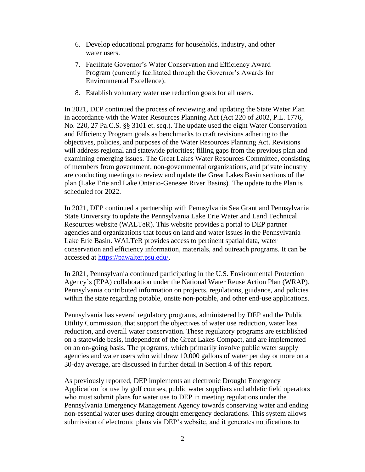- 6. Develop educational programs for households, industry, and other water users.
- 7. Facilitate Governor's Water Conservation and Efficiency Award Program (currently facilitated through the Governor's Awards for Environmental Excellence).
- 8. Establish voluntary water use reduction goals for all users.

In 2021, DEP continued the process of reviewing and updating the State Water Plan in accordance with the Water Resources Planning Act (Act 220 of 2002, P.L. 1776, No. 220, 27 Pa.C.S. §§ 3101 et. seq.). The update used the eight Water Conservation and Efficiency Program goals as benchmarks to craft revisions adhering to the objectives, policies, and purposes of the Water Resources Planning Act. Revisions will address regional and statewide priorities; filling gaps from the previous plan and examining emerging issues. The Great Lakes Water Resources Committee, consisting of members from government, non-governmental organizations, and private industry are conducting meetings to review and update the Great Lakes Basin sections of the plan (Lake Erie and Lake Ontario-Genesee River Basins). The update to the Plan is scheduled for 2022.

In 2021, DEP continued a partnership with Pennsylvania Sea Grant and Pennsylvania State University to update the Pennsylvania Lake Erie Water and Land Technical Resources website (WALTeR). This website provides a portal to DEP partner agencies and organizations that focus on land and water issues in the Pennsylvania Lake Erie Basin. WALTeR provides access to pertinent spatial data, water conservation and efficiency information, materials, and outreach programs. It can be accessed at [https://pawalter.psu.edu/.](https://pawalter.psu.edu/)

In 2021, Pennsylvania continued participating in the U.S. Environmental Protection Agency's (EPA) collaboration under the National Water Reuse Action Plan (WRAP). Pennsylvania contributed information on projects, regulations, guidance, and policies within the state regarding potable, onsite non-potable, and other end-use applications.

Pennsylvania has several regulatory programs, administered by DEP and the Public Utility Commission, that support the objectives of water use reduction, water loss reduction, and overall water conservation. These regulatory programs are established on a statewide basis, independent of the Great Lakes Compact, and are implemented on an on-going basis. The programs, which primarily involve public water supply agencies and water users who withdraw 10,000 gallons of water per day or more on a 30-day average, are discussed in further detail in Section 4 of this report.

As previously reported, DEP implements an electronic Drought Emergency Application for use by golf courses, public water suppliers and athletic field operators who must submit plans for water use to DEP in meeting regulations under the Pennsylvania Emergency Management Agency towards conserving water and ending non-essential water uses during drought emergency declarations. This system allows submission of electronic plans via DEP's website, and it generates notifications to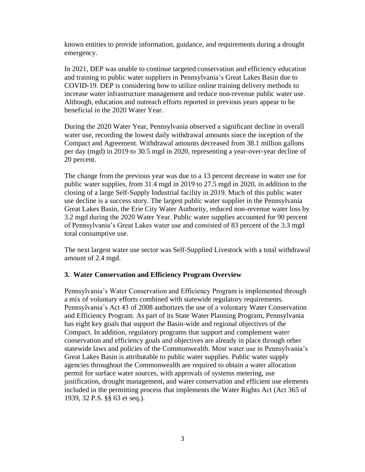known entities to provide information, guidance, and requirements during a drought emergency.

In 2021, DEP was unable to continue targeted conservation and efficiency education and training to public water suppliers in Pennsylvania's Great Lakes Basin due to COVID-19. DEP is considering how to utilize online training delivery methods to increase water infrastructure management and reduce non-revenue public water use. Although, education and outreach efforts reported in previous years appear to be beneficial in the 2020 Water Year.

During the 2020 Water Year, Pennsylvania observed a significant decline in overall water use, recording the lowest daily withdrawal amounts since the inception of the Compact and Agreement. Withdrawal amounts decreased from 38.1 million gallons per day (mgd) in 2019 to 30.5 mgd in 2020, representing a year-over-year decline of 20 percent.

The change from the previous year was due to a 13 percent decrease in water use for public water supplies, from 31.4 mgd in 2019 to 27.5 mgd in 2020, in addition to the closing of a large Self-Supply Industrial facility in 2019. Much of this public water use decline is a success story. The largest public water supplier in the Pennsylvania Great Lakes Basin, the Erie City Water Authority, reduced non-revenue water loss by 3.2 mgd during the 2020 Water Year. Public water supplies accounted for 90 percent of Pennsylvania's Great Lakes water use and consisted of 83 percent of the 3.3 mgd total consumptive use.

The next largest water use sector was Self-Supplied Livestock with a total withdrawal amount of 2.4 mgd.

#### **3. Water Conservation and Efficiency Program Overview**

Pennsylvania's Water Conservation and Efficiency Program is implemented through a mix of voluntary efforts combined with statewide regulatory requirements. Pennsylvania's Act 43 of 2008 authorizes the use of a voluntary Water Conservation and Efficiency Program. As part of its State Water Planning Program, Pennsylvania has eight key goals that support the Basin-wide and regional objectives of the Compact. In addition, regulatory programs that support and complement water conservation and efficiency goals and objectives are already in place through other statewide laws and policies of the Commonwealth. Most water use in Pennsylvania's Great Lakes Basin is attributable to public water supplies. Public water supply agencies throughout the Commonwealth are required to obtain a water allocation permit for surface water sources, with approvals of systems metering, use justification, drought management, and water conservation and efficient use elements included in the permitting process that implements the Water Rights Act (Act 365 of 1939, 32 P.S. §§ 63 et seq.).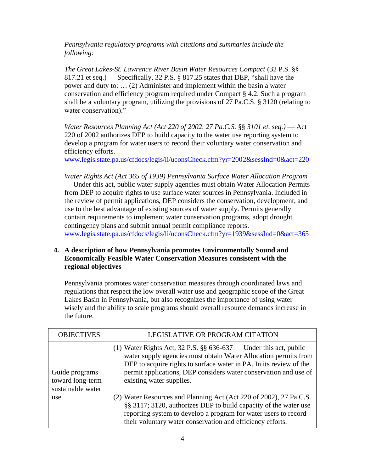*Pennsylvania regulatory programs with citations and summaries include the following:*

*The Great Lakes-St. Lawrence River Basin Water Resources Compact* (32 P.S. §§ 817.21 et seq.) — Specifically, 32 P.S. § 817.25 states that DEP, "shall have the power and duty to: … (2) Administer and implement within the basin a water conservation and efficiency program required under Compact § 4.2. Such a program shall be a voluntary program, utilizing the provisions of 27 Pa.C.S. § 3120 (relating to water conservation)."

*Water Resources Planning Act (Act 220 of 2002, 27 Pa.C.S.* §§ *3101 et. seq.)* — Act 220 of 2002 authorizes DEP to build capacity to the water use reporting system to develop a program for water users to record their voluntary water conservation and efficiency efforts.

[www.legis.state.pa.us/cfdocs/legis/li/uconsCheck.cfm?yr=2002&sessInd=0&act=220](http://www.legis.state.pa.us/cfdocs/legis/li/uconsCheck.cfm?yr=2002&sessInd=0&act=220)

*Water Rights Act (Act 365 of 1939) Pennsylvania Surface Water Allocation Program* — Under this act, public water supply agencies must obtain Water Allocation Permits from DEP to acquire rights to use surface water sources in Pennsylvania. Included in the review of permit applications, DEP considers the conservation, development, and use to the best advantage of existing sources of water supply. Permits generally contain requirements to implement water conservation programs, adopt drought contingency plans and submit annual permit compliance reports. [www.legis.state.pa.us/cfdocs/legis/li/uconsCheck.cfm?yr=1939&sessInd=0&act=365](http://www.legis.state.pa.us/cfdocs/legis/li/uconsCheck.cfm?yr=1939&sessInd=0&act=365)

## **4. A description of how Pennsylvania promotes Environmentally Sound and Economically Feasible Water Conservation Measures consistent with the regional objectives**

Pennsylvania promotes water conservation measures through coordinated laws and regulations that respect the low overall water use and geographic scope of the Great Lakes Basin in Pennsylvania, but also recognizes the importance of using water wisely and the ability to scale programs should overall resource demands increase in the future.

| <b>OBJECTIVES</b>                                              | LEGISLATIVE OR PROGRAM CITATION                                                                                                                                                                                                                                                                              |
|----------------------------------------------------------------|--------------------------------------------------------------------------------------------------------------------------------------------------------------------------------------------------------------------------------------------------------------------------------------------------------------|
| Guide programs<br>toward long-term<br>sustainable water<br>use | (1) Water Rights Act, 32 P.S. $\S$ 636-637 — Under this act, public<br>water supply agencies must obtain Water Allocation permits from<br>DEP to acquire rights to surface water in PA. In its review of the<br>permit applications, DEP considers water conservation and use of<br>existing water supplies. |
|                                                                | (2) Water Resources and Planning Act (Act 220 of 2002), 27 Pa.C.S.<br>§§ 3117; 3120, authorizes DEP to build capacity of the water use<br>reporting system to develop a program for water users to record<br>their voluntary water conservation and efficiency efforts.                                      |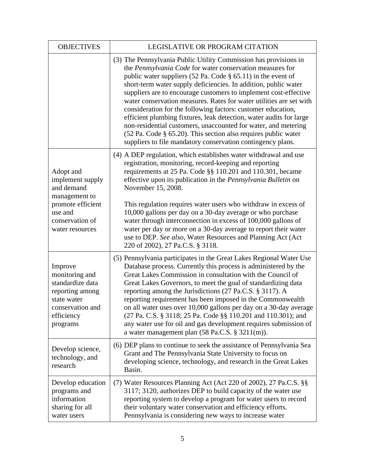| <b>OBJECTIVES</b>                                                                                                                  | LEGISLATIVE OR PROGRAM CITATION                                                                                                                                                                                                                                                                                                                                                                                                                                                                                                                                                                                                                                                                                                                          |
|------------------------------------------------------------------------------------------------------------------------------------|----------------------------------------------------------------------------------------------------------------------------------------------------------------------------------------------------------------------------------------------------------------------------------------------------------------------------------------------------------------------------------------------------------------------------------------------------------------------------------------------------------------------------------------------------------------------------------------------------------------------------------------------------------------------------------------------------------------------------------------------------------|
|                                                                                                                                    | (3) The Pennsylvania Public Utility Commission has provisions in<br>the Pennsylvania Code for water conservation measures for<br>public water suppliers (52 Pa. Code $\S$ 65.11) in the event of<br>short-term water supply deficiencies. In addition, public water<br>suppliers are to encourage customers to implement cost-effective<br>water conservation measures. Rates for water utilities are set with<br>consideration for the following factors: customer education,<br>efficient plumbing fixtures, leak detection, water audits for large<br>non-residential customers, unaccounted for water, and metering<br>(52 Pa. Code § 65.20). This section also requires public water<br>suppliers to file mandatory conservation contingency plans. |
| Adopt and<br>implement supply<br>and demand<br>management to<br>promote efficient<br>use and<br>conservation of<br>water resources | (4) A DEP regulation, which establishes water withdrawal and use<br>registration, monitoring, record-keeping and reporting<br>requirements at 25 Pa. Code §§ 110.201 and 110.301, became<br>effective upon its publication in the Pennsylvania Bulletin on<br>November 15, 2008.<br>This regulation requires water users who withdraw in excess of<br>10,000 gallons per day on a 30-day average or who purchase<br>water through interconnection in excess of 100,000 gallons of<br>water per day or more on a 30-day average to report their water<br>use to DEP. See also, Water Resources and Planning Act (Act                                                                                                                                      |
| Improve<br>monitoring and<br>standardize data<br>reporting among<br>state water<br>conservation and<br>efficiency<br>programs      | 220 of 2002), 27 Pa.C.S. § 3118.<br>(5) Pennsylvania participates in the Great Lakes Regional Water Use<br>Database process. Currently this process is administered by the<br>Great Lakes Commission in consultation with the Council of<br>Great Lakes Governors, to meet the goal of standardizing data<br>reporting among the Jurisdictions (27 Pa.C.S. § 3117). A<br>reporting requirement has been imposed in the Commonwealth<br>on all water uses over 10,000 gallons per day on a 30-day average<br>(27 Pa. C.S. § 3118; 25 Pa. Code §§ 110.201 and 110.301); and<br>any water use for oil and gas development requires submission of<br>a water management plan $(58 \text{ Pa.C.S. } § 3211(m))$ .                                             |
| Develop science,<br>technology, and<br>research                                                                                    | (6) DEP plans to continue to seek the assistance of Pennsylvania Sea<br>Grant and The Pennsylvania State University to focus on<br>developing science, technology, and research in the Great Lakes<br>Basin.                                                                                                                                                                                                                                                                                                                                                                                                                                                                                                                                             |
| Develop education<br>programs and<br>information<br>sharing for all<br>water users                                                 | (7) Water Resources Planning Act (Act 220 of 2002), 27 Pa.C.S. §§<br>3117; 3120, authorizes DEP to build capacity of the water use<br>reporting system to develop a program for water users to record<br>their voluntary water conservation and efficiency efforts.<br>Pennsylvania is considering new ways to increase water                                                                                                                                                                                                                                                                                                                                                                                                                            |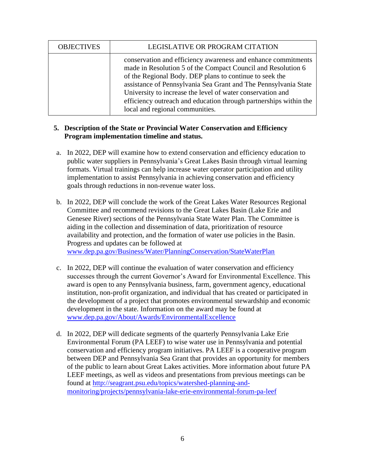| <b>OBJECTIVES</b> | LEGISLATIVE OR PROGRAM CITATION                                                                                                                                                                                                                                                                                                                                                                                                   |
|-------------------|-----------------------------------------------------------------------------------------------------------------------------------------------------------------------------------------------------------------------------------------------------------------------------------------------------------------------------------------------------------------------------------------------------------------------------------|
|                   | conservation and efficiency awareness and enhance commitments<br>made in Resolution 5 of the Compact Council and Resolution 6<br>of the Regional Body. DEP plans to continue to seek the<br>assistance of Pennsylvania Sea Grant and The Pennsylvania State<br>University to increase the level of water conservation and<br>efficiency outreach and education through partnerships within the<br>local and regional communities. |

### **5. Description of the State or Provincial Water Conservation and Efficiency Program implementation timeline and status.**

- a. In 2022, DEP will examine how to extend conservation and efficiency education to public water suppliers in Pennsylvania's Great Lakes Basin through virtual learning formats. Virtual trainings can help increase water operator participation and utility implementation to assist Pennsylvania in achieving conservation and efficiency goals through reductions in non-revenue water loss.
- b. In 2022, DEP will conclude the work of the Great Lakes Water Resources Regional Committee and recommend revisions to the Great Lakes Basin (Lake Erie and Genesee River) sections of the Pennsylvania State Water Plan. The Committee is aiding in the collection and dissemination of data, prioritization of resource availability and protection, and the formation of water use policies in the Basin. Progress and updates can be followed at [www.dep.pa.gov/Business/Water/PlanningConservation/StateWaterPlan](http://www.dep.pa.gov/Business/Water/PlanningConservation/StateWaterPlan)
- c. In 2022, DEP will continue the evaluation of water conservation and efficiency successes through the current Governor's Award for Environmental Excellence. This award is open to any Pennsylvania business, farm, government agency, educational institution, non-profit organization, and individual that has created or participated in the development of a project that promotes environmental stewardship and economic development in the state. Information on the award may be found at [www.dep.pa.gov/About/Awards/EnvironmentalExcellence](http://www.dep.pa.gov/About/Awards/EnvironmentalExcellence)
- d. In 2022, DEP will dedicate segments of the quarterly Pennsylvania Lake Erie Environmental Forum (PA LEEF) to wise water use in Pennsylvania and potential conservation and efficiency program initiatives. PA LEEF is a cooperative program between DEP and Pennsylvania Sea Grant that provides an opportunity for members of the public to learn about Great Lakes activities. More information about future PA LEEF meetings, as well as videos and presentations from previous meetings can be found at [http://seagrant.psu.edu/topics/watershed-planning-and](http://seagrant.psu.edu/topics/watershed-planning-and-monitoring/projects/pennsylvania-lake-erie-environmental-forum-pa-leef)[monitoring/projects/pennsylvania-lake-erie-environmental-forum-pa-leef](http://seagrant.psu.edu/topics/watershed-planning-and-monitoring/projects/pennsylvania-lake-erie-environmental-forum-pa-leef)